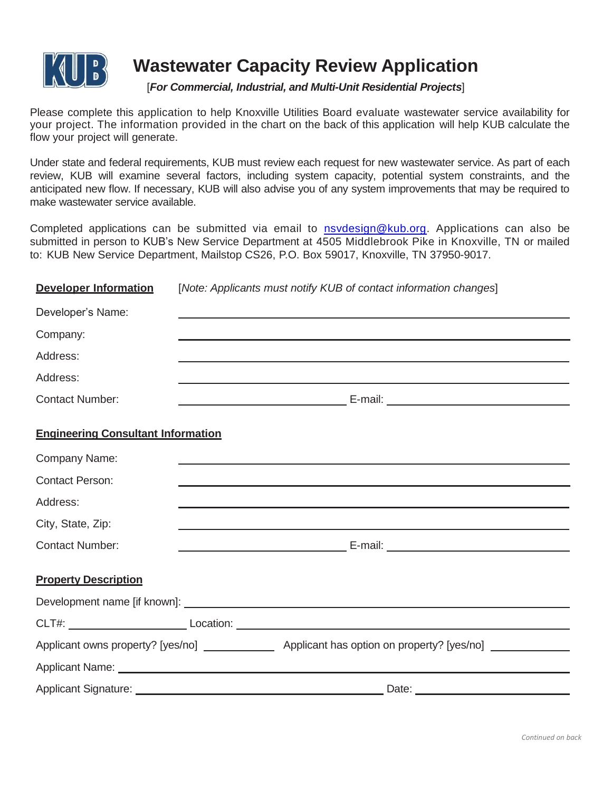

## **Wastewater Capacity Review Application**

## [*For Commercial, Industrial, and Multi-Unit Residential Projects*]

Please complete this application to help Knoxville Utilities Board evaluate wastewater service availability for your project. The information provided in the chart on the back of this application will help KUB calculate the flow your project will generate.

Under state and federal requirements, KUB must review each request for new wastewater service. As part of each review, KUB will examine several factors, including system capacity, potential system constraints, and the anticipated new flow. If necessary, KUB will also advise you of any system improvements that may be required to make wastewater service available.

Completed applications can be submitted via email to [nsvdesign@kub.org.](mailto:nsvdesign@kub.org) Applications can also be submitted in person to KUB's New Service Department at 4505 Middlebrook Pike in Knoxville, TN or mailed to: KUB New Service Department, Mailstop CS26, P.O. Box 59017, Knoxville, TN 37950-9017.

| <b>Developer Information</b>              | [Note: Applicants must notify KUB of contact information changes] |                                                                                                                                                                                                                                      |  |  |  |  |
|-------------------------------------------|-------------------------------------------------------------------|--------------------------------------------------------------------------------------------------------------------------------------------------------------------------------------------------------------------------------------|--|--|--|--|
| Developer's Name:                         |                                                                   | and the control of the control of the control of the control of the control of the control of the control of the                                                                                                                     |  |  |  |  |
| Company:                                  |                                                                   |                                                                                                                                                                                                                                      |  |  |  |  |
| Address:                                  |                                                                   |                                                                                                                                                                                                                                      |  |  |  |  |
| Address:                                  |                                                                   | <u> 1989 - Johann Stoff, deutscher Stoff, der Stoff, der Stoff, der Stoff, der Stoff, der Stoff, der Stoff, der S</u>                                                                                                                |  |  |  |  |
| <b>Contact Number:</b>                    |                                                                   |                                                                                                                                                                                                                                      |  |  |  |  |
| <b>Engineering Consultant Information</b> |                                                                   |                                                                                                                                                                                                                                      |  |  |  |  |
| Company Name:                             |                                                                   | <u> 1989 - Johann Stoff, deutscher Stoff, der Stoff, der Stoff, der Stoff, der Stoff, der Stoff, der Stoff, der S</u>                                                                                                                |  |  |  |  |
| <b>Contact Person:</b>                    |                                                                   | and the control of the control of the control of the control of the control of the control of the control of the                                                                                                                     |  |  |  |  |
| Address:                                  |                                                                   | ,我们也不能在这里的时候,我们也不能在这里的时候,我们也不能会不能会不能会不能会不能会不能会不能会不能会不能会不能会。<br>第2012章 我们的时候,我们的时候,我们的时候,我们的时候,我们的时候,我们的时候,我们的时候,我们的时候,我们的时候,我们的时候,我们的时候,我们的时候,我                                                                                      |  |  |  |  |
| City, State, Zip:                         |                                                                   | ,我们也不能在这里的时候,我们也不能在这里的时候,我们也不能会不能会不能会不能会不能会不能会不能会不能会不能会不能会。<br>第2012章 我们的时候,我们的时候,我们的时候,我们的时候,我们的时候,我们的时候,我们的时候,我们的时候,我们的时候,我们的时候,我们的时候,我们的时候,我                                                                                      |  |  |  |  |
| <b>Contact Number:</b>                    |                                                                   |                                                                                                                                                                                                                                      |  |  |  |  |
| <b>Property Description</b>               |                                                                   |                                                                                                                                                                                                                                      |  |  |  |  |
|                                           |                                                                   |                                                                                                                                                                                                                                      |  |  |  |  |
|                                           |                                                                   |                                                                                                                                                                                                                                      |  |  |  |  |
|                                           |                                                                   | Applicant owns property? [yes/no] ________________ Applicant has option on property? [yes/no] ____________                                                                                                                           |  |  |  |  |
|                                           |                                                                   | Applicant Name: <u>example and a series of the series of the series of the series of the series of the series of the series of the series of the series of the series of the series of the series of the series of the series of</u> |  |  |  |  |
|                                           |                                                                   |                                                                                                                                                                                                                                      |  |  |  |  |